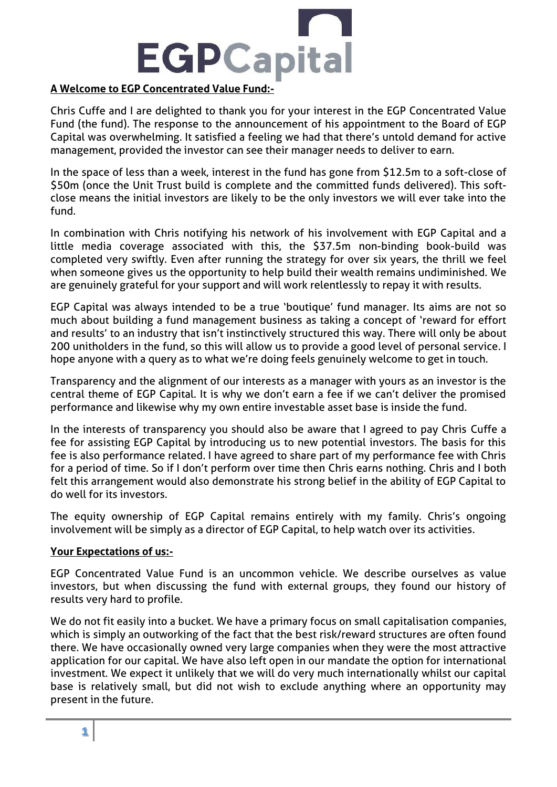

## **A Welcome to EGP Concentrated Value Fund:-**

Chris Cuffe and I are delighted to thank you for your interest in the EGP Concentrated Value Fund (the fund). The response to the announcement of his appointment to the Board of EGP Capital was overwhelming. It satisfied a feeling we had that there's untold demand for active management, provided the investor can see their manager needs to deliver to earn.

In the space of less than a week, interest in the fund has gone from \$12.5m to a soft-close of \$50m (once the Unit Trust build is complete and the committed funds delivered). This softclose means the initial investors are likely to be the only investors we will ever take into the fund.

In combination with Chris notifying his network of his involvement with EGP Capital and a little media coverage associated with this, the \$37.5m non-binding book-build was completed very swiftly. Even after running the strategy for over six years, the thrill we feel when someone gives us the opportunity to help build their wealth remains undiminished. We are genuinely grateful for your support and will work relentlessly to repay it with results.

EGP Capital was always intended to be a true 'boutique' fund manager. Its aims are not so much about building a fund management business as taking a concept of 'reward for effort and results' to an industry that isn't instinctively structured this way. There will only be about 200 unitholders in the fund, so this will allow us to provide a good level of personal service. I hope anyone with a query as to what we're doing feels genuinely welcome to get in touch.

Transparency and the alignment of our interests as a manager with yours as an investor is the central theme of EGP Capital. It is why we don't earn a fee if we can't deliver the promised performance and likewise why my own entire investable asset base is inside the fund.

In the interests of transparency you should also be aware that I agreed to pay Chris Cuffe a fee for assisting EGP Capital by introducing us to new potential investors. The basis for this fee is also performance related. I have agreed to share part of my performance fee with Chris for a period of time. So if I don't perform over time then Chris earns nothing. Chris and I both felt this arrangement would also demonstrate his strong belief in the ability of EGP Capital to do well for its investors.

The equity ownership of EGP Capital remains entirely with my family. Chris's ongoing involvement will be simply as a director of EGP Capital, to help watch over its activities.

## **Your Expectations of us:-**

EGP Concentrated Value Fund is an uncommon vehicle. We describe ourselves as value investors, but when discussing the fund with external groups, they found our history of results very hard to profile.

We do not fit easily into a bucket. We have a primary focus on small capitalisation companies, which is simply an outworking of the fact that the best risk/reward structures are often found there. We have occasionally owned very large companies when they were the most attractive application for our capital. We have also left open in our mandate the option for international investment. We expect it unlikely that we will do very much internationally whilst our capital base is relatively small, but did not wish to exclude anything where an opportunity may present in the future.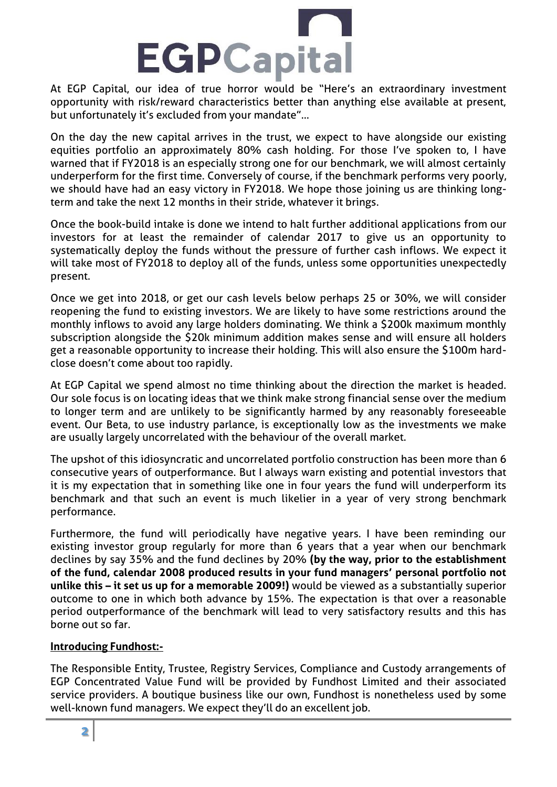

At EGP Capital, our idea of true horror would be "Here's an extraordinary investment opportunity with risk/reward characteristics better than anything else available at present, but unfortunately it's excluded from your mandate"…

On the day the new capital arrives in the trust, we expect to have alongside our existing equities portfolio an approximately 80% cash holding. For those I've spoken to, I have warned that if FY2018 is an especially strong one for our benchmark, we will almost certainly underperform for the first time. Conversely of course, if the benchmark performs very poorly, we should have had an easy victory in FY2018. We hope those joining us are thinking longterm and take the next 12 months in their stride, whatever it brings.

Once the book-build intake is done we intend to halt further additional applications from our investors for at least the remainder of calendar 2017 to give us an opportunity to systematically deploy the funds without the pressure of further cash inflows. We expect it will take most of FY2018 to deploy all of the funds, unless some opportunities unexpectedly present.

Once we get into 2018, or get our cash levels below perhaps 25 or 30%, we will consider reopening the fund to existing investors. We are likely to have some restrictions around the monthly inflows to avoid any large holders dominating. We think a \$200k maximum monthly subscription alongside the \$20k minimum addition makes sense and will ensure all holders get a reasonable opportunity to increase their holding. This will also ensure the \$100m hardclose doesn't come about too rapidly.

At EGP Capital we spend almost no time thinking about the direction the market is headed. Our sole focus is on locating ideas that we think make strong financial sense over the medium to longer term and are unlikely to be significantly harmed by any reasonably foreseeable event. Our Beta, to use industry parlance, is exceptionally low as the investments we make are usually largely uncorrelated with the behaviour of the overall market.

The upshot of this idiosyncratic and uncorrelated portfolio construction has been more than 6 consecutive years of outperformance. But I always warn existing and potential investors that it is my expectation that in something like one in four years the fund will underperform its benchmark and that such an event is much likelier in a year of very strong benchmark performance.

Furthermore, the fund will periodically have negative years. I have been reminding our existing investor group regularly for more than 6 years that a year when our benchmark declines by say 35% and the fund declines by 20% **(by the way, prior to the establishment of the fund, calendar 2008 produced results in your fund managers' personal portfolio not unlike this – it set us up for a memorable 2009!)** would be viewed as a substantially superior outcome to one in which both advance by 15%. The expectation is that over a reasonable period outperformance of the benchmark will lead to very satisfactory results and this has borne out so far.

## **Introducing Fundhost:-**

The Responsible Entity, Trustee, Registry Services, Compliance and Custody arrangements of EGP Concentrated Value Fund will be provided by Fundhost Limited and their associated service providers. A boutique business like our own, Fundhost is nonetheless used by some well-known fund managers. We expect they'll do an excellent job.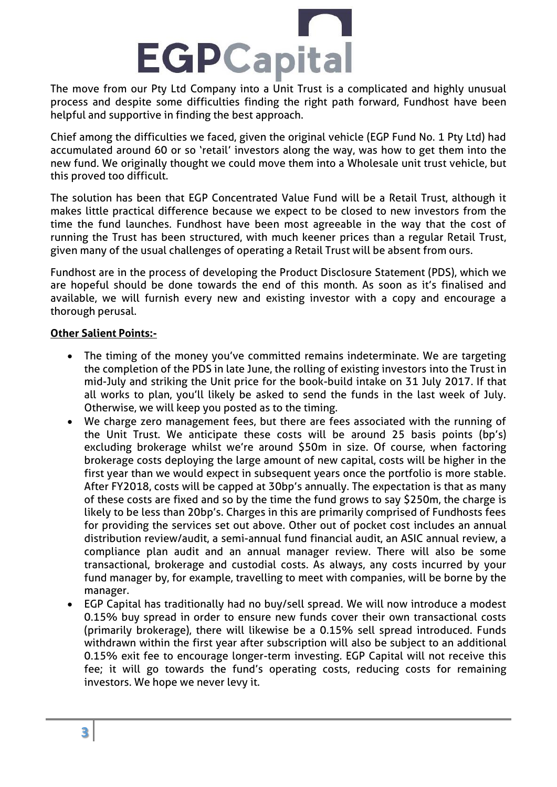

The move from our Pty Ltd Company into a Unit Trust is a complicated and highly unusual process and despite some difficulties finding the right path forward, Fundhost have been helpful and supportive in finding the best approach.

Chief among the difficulties we faced, given the original vehicle (EGP Fund No. 1 Pty Ltd) had accumulated around 60 or so 'retail' investors along the way, was how to get them into the new fund. We originally thought we could move them into a Wholesale unit trust vehicle, but this proved too difficult.

The solution has been that EGP Concentrated Value Fund will be a Retail Trust, although it makes little practical difference because we expect to be closed to new investors from the time the fund launches. Fundhost have been most agreeable in the way that the cost of running the Trust has been structured, with much keener prices than a regular Retail Trust, given many of the usual challenges of operating a Retail Trust will be absent from ours.

Fundhost are in the process of developing the Product Disclosure Statement (PDS), which we are hopeful should be done towards the end of this month. As soon as it's finalised and available, we will furnish every new and existing investor with a copy and encourage a thorough perusal.

## **Other Salient Points:-**

- The timing of the money you've committed remains indeterminate. We are targeting the completion of the PDS in late June, the rolling of existing investors into the Trust in mid-July and striking the Unit price for the book-build intake on 31 July 2017. If that all works to plan, you'll likely be asked to send the funds in the last week of July. Otherwise, we will keep you posted as to the timing.
- We charge zero management fees, but there are fees associated with the running of the Unit Trust. We anticipate these costs will be around 25 basis points (bp's) excluding brokerage whilst we're around \$50m in size. Of course, when factoring brokerage costs deploying the large amount of new capital, costs will be higher in the first year than we would expect in subsequent years once the portfolio is more stable. After FY2018, costs will be capped at 30bp's annually. The expectation is that as many of these costs are fixed and so by the time the fund grows to say \$250m, the charge is likely to be less than 20bp's. Charges in this are primarily comprised of Fundhosts fees for providing the services set out above. Other out of pocket cost includes an annual distribution review/audit, a semi-annual fund financial audit, an ASIC annual review, a compliance plan audit and an annual manager review. There will also be some transactional, brokerage and custodial costs. As always, any costs incurred by your fund manager by, for example, travelling to meet with companies, will be borne by the manager.
- EGP Capital has traditionally had no buy/sell spread. We will now introduce a modest 0.15% buy spread in order to ensure new funds cover their own transactional costs (primarily brokerage), there will likewise be a 0.15% sell spread introduced. Funds withdrawn within the first year after subscription will also be subject to an additional 0.15% exit fee to encourage longer-term investing. EGP Capital will not receive this fee; it will go towards the fund's operating costs, reducing costs for remaining investors. We hope we never levy it.